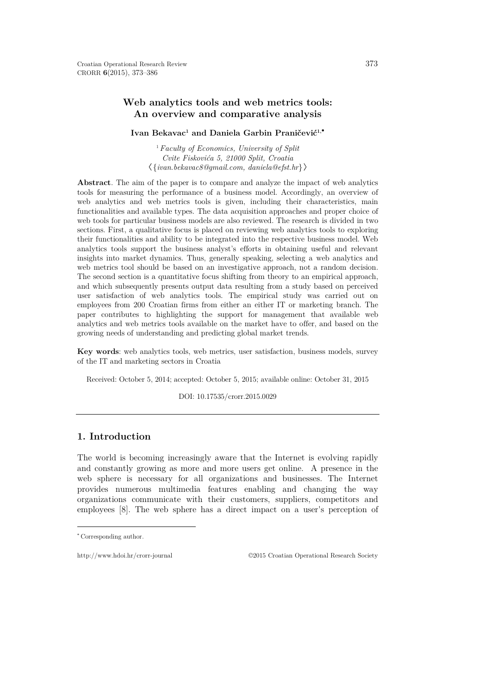# **Web analytics tools and web metrics tools: An overview and comparative analysis**

### Ivan Bekavac<sup>1</sup> and Daniela Garbin Praničević<sup>1,</sup><sup>◆</sup>

<sup>1</sup>*Faculty of Economics, University of Split Cvite Fiskovića 5, 21000 Split, Croatia* 〈{*ivan.bekavac8@gmail.com, daniela@efst.hr*}〉

**Abstract**. The aim of the paper is to compare and analyze the impact of web analytics tools for measuring the performance of a business model. Accordingly, an overview of web analytics and web metrics tools is given, including their characteristics, main functionalities and available types. The data acquisition approaches and proper choice of web tools for particular business models are also reviewed. The research is divided in two sections. First, a qualitative focus is placed on reviewing web analytics tools to exploring their functionalities and ability to be integrated into the respective business model. Web analytics tools support the business analyst's efforts in obtaining useful and relevant insights into market dynamics. Thus, generally speaking, selecting a web analytics and web metrics tool should be based on an investigative approach, not a random decision. The second section is a quantitative focus shifting from theory to an empirical approach, and which subsequently presents output data resulting from a study based on perceived user satisfaction of web analytics tools. The empirical study was carried out on employees from 200 Croatian firms from either an either IT or marketing branch. The paper contributes to highlighting the support for management that available web analytics and web metrics tools available on the market have to offer, and based on the growing needs of understanding and predicting global market trends.

**Key words**: web analytics tools, web metrics, user satisfaction, business models, survey of the IT and marketing sectors in Croatia

Received: October 5, 2014; accepted: October 5, 2015; available online: October 31, 2015

DOI: 10.17535/crorr.2015.0029

## **1. Introduction**

The world is becoming increasingly aware that the Internet is evolving rapidly and constantly growing as more and more users get online. A presence in the web sphere is necessary for all organizations and businesses. The Internet provides numerous multimedia features enabling and changing the way organizations communicate with their customers, suppliers, competitors and employees [8]. The web sphere has a direct impact on a user's perception of

 $\overline{a}$ 

http://www.hdoi.hr/crorr-journal ©2015 Croatian Operational Research Society

<span id="page-0-0"></span><sup>∗</sup> Corresponding author.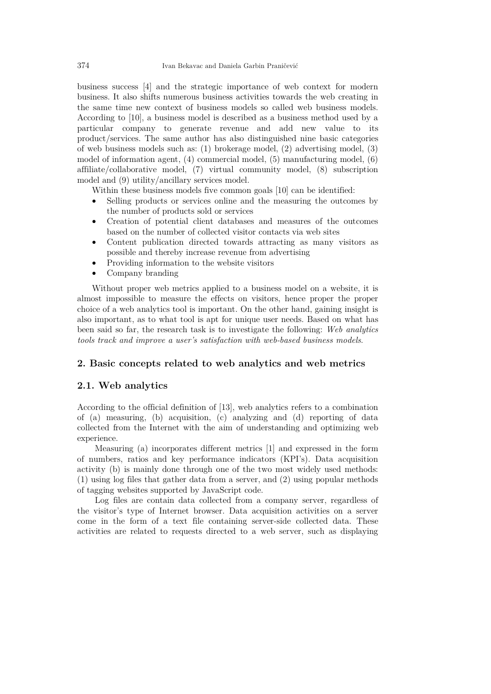business success [4] and the strategic importance of web context for modern business. It also shifts numerous business activities towards the web creating in the same time new context of business models so called web business models. According to [10], a business model is described as a business method used by a particular company to generate revenue and add new value to its product/services. The same author has also distinguished nine basic categories of web business models such as: (1) brokerage model, (2) advertising model, (3) model of information agent, (4) commercial model, (5) manufacturing model, (6) affiliate/collaborative model, (7) virtual community model, (8) subscription model and (9) utility/ancillary services model.

Within these business models five common goals [10] can be identified:

- Selling products or services online and the measuring the outcomes by the number of products sold or services
- Creation of potential client databases and measures of the outcomes based on the number of collected visitor contacts via web sites
- Content publication directed towards attracting as many visitors as possible and thereby increase revenue from advertising
- Providing information to the website visitors
- Company branding

Without proper web metrics applied to a business model on a website, it is almost impossible to measure the effects on visitors, hence proper the proper choice of a web analytics tool is important. On the other hand, gaining insight is also important, as to what tool is apt for unique user needs. Based on what has been said so far, the research task is to investigate the following: *Web analytics tools track and improve a user's satisfaction with web-based business models*.

### **2. Basic concepts related to web analytics and web metrics**

#### **2.1. Web analytics**

According to the official definition of [13], web analytics refers to a combination of (a) measuring, (b) acquisition, (c) analyzing and (d) reporting of data collected from the Internet with the aim of understanding and optimizing web experience.

Measuring (a) incorporates different metrics [1] and expressed in the form of numbers, ratios and key performance indicators (KPI's). Data acquisition activity (b) is mainly done through one of the two most widely used methods: (1) using log files that gather data from a server, and (2) using popular methods of tagging websites supported by JavaScript code.

Log files are contain data collected from a company server, regardless of the visitor's type of Internet browser. Data acquisition activities on a server come in the form of a text file containing server-side collected data. These activities are related to requests directed to a web server, such as displaying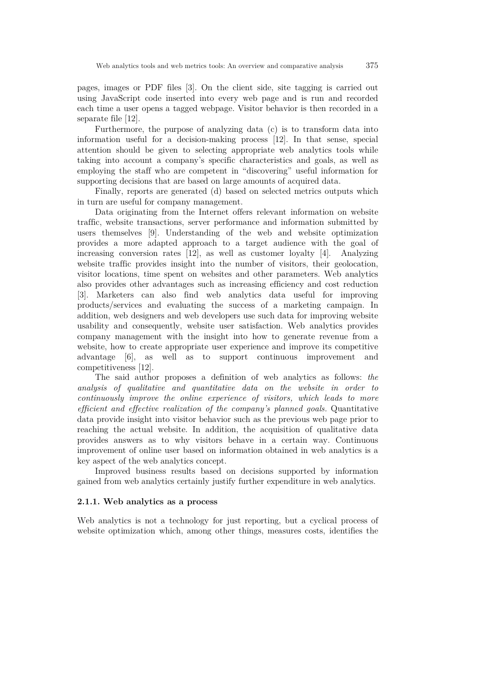pages, images or PDF files [3]. On the client side, site tagging is carried out using JavaScript code inserted into every web page and is run and recorded each time a user opens a tagged webpage. Visitor behavior is then recorded in a separate file [12].

Furthermore, the purpose of analyzing data (c) is to transform data into information useful for a decision-making process [12]. In that sense, special attention should be given to selecting appropriate web analytics tools while taking into account a company's specific characteristics and goals, as well as employing the staff who are competent in "discovering" useful information for supporting decisions that are based on large amounts of acquired data.

Finally, reports are generated (d) based on selected metrics outputs which in turn are useful for company management.

Data originating from the Internet offers relevant information on website traffic, website transactions, server performance and information submitted by users themselves [9]. Understanding of the web and website optimization provides a more adapted approach to a target audience with the goal of increasing conversion rates [12], as well as customer loyalty [4]. Analyzing website traffic provides insight into the number of visitors, their geolocation, visitor locations, time spent on websites and other parameters. Web analytics also provides other advantages such as increasing efficiency and cost reduction [3]. Marketers can also find web analytics data useful for improving products/services and evaluating the success of a marketing campaign. In addition, web designers and web developers use such data for improving website usability and consequently, website user satisfaction. Web analytics provides company management with the insight into how to generate revenue from a website, how to create appropriate user experience and improve its competitive advantage [6], as well as to support continuous improvement and competitiveness [12].

The said author proposes a definition of web analytics as follows: *the analysis of qualitative and quantitative data on the website in order to continuously improve the online experience of visitors, which leads to more efficient and effective realization of the company's planned goals.* Quantitative data provide insight into visitor behavior such as the previous web page prior to reaching the actual website. In addition, the acquisition of qualitative data provides answers as to why visitors behave in a certain way. Continuous improvement of online user based on information obtained in web analytics is a key aspect of the web analytics concept.

Improved business results based on decisions supported by information gained from web analytics certainly justify further expenditure in web analytics.

#### **2.1.1. Web analytics as a process**

Web analytics is not a technology for just reporting, but a cyclical process of website optimization which, among other things, measures costs, identifies the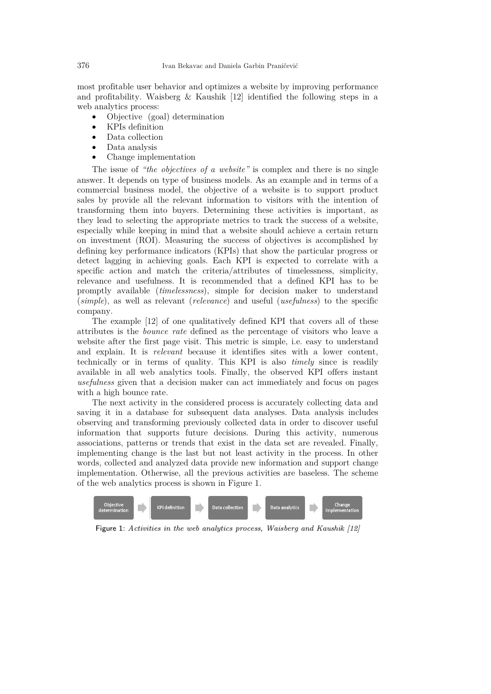most profitable user behavior and optimizes a website by improving performance and profitability. Waisberg & Kaushik [12] identified the following steps in a web analytics process:

- Objective (goal) determination
- KPIs definition
- Data collection
- Data analysis
- Change implementation

The issue of *"the objectives of a website"* is complex and there is no single answer. It depends on type of business models. As an example and in terms of a commercial business model, the objective of a website is to support product sales by provide all the relevant information to visitors with the intention of transforming them into buyers. Determining these activities is important, as they lead to selecting the appropriate metrics to track the success of a website, especially while keeping in mind that a website should achieve a certain return on investment (ROI). Measuring the success of objectives is accomplished by defining key performance indicators (KPIs) that show the particular progress or detect lagging in achieving goals. Each KPI is expected to correlate with a specific action and match the criteria/attributes of timelessness, simplicity, relevance and usefulness. It is recommended that a defined KPI has to be promptly available (*timelessness*), simple for decision maker to understand (*simple*), as well as relevant (*relevance*) and useful (*usefulness*) to the specific company.

The example [12] of one qualitatively defined KPI that covers all of these attributes is the *bounce rate* defined as the percentage of visitors who leave a website after the first page visit. This metric is simple, i.e. easy to understand and explain. It is *relevant* because it identifies sites with a lower content, technically or in terms of quality. This KPI is also *timely* since is readily available in all web analytics tools. Finally, the observed KPI offers instant *usefulness* given that a decision maker can act immediately and focus on pages with a high bounce rate.

The next activity in the considered process is accurately collecting data and saving it in a database for subsequent data analyses. Data analysis includes observing and transforming previously collected data in order to discover useful information that supports future decisions. During this activity, numerous associations, patterns or trends that exist in the data set are revealed. Finally, implementing change is the last but not least activity in the process. In other words, collected and analyzed data provide new information and support change implementation. Otherwise, all the previous activities are baseless. The scheme of the web analytics process is shown in Figure 1.



Figure 1: Activities in the web analytics process, Waisberg and Kaushik [12]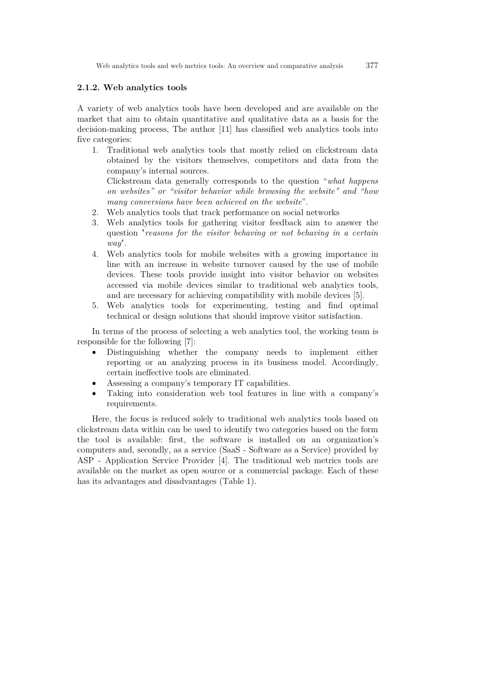### **2.1.2. Web analytics tools**

A variety of web analytics tools have been developed and are available on the market that aim to obtain quantitative and qualitative data as a basis for the decision-making process, The author [11] has classified web analytics tools into five categories:

1. Traditional web analytics tools that mostly relied on clickstream data obtained by the visitors themselves, competitors and data from the company's internal sources.

Clickstream data generally corresponds to the question "*what happens on websites" or "visitor behavior while browsing the website" and "how many conversions have been achieved on the website*".

- 2. Web analytics tools that track performance on social networks
- 3. Web analytics tools for gathering visitor feedback aim to answer the question "*reasons for the visitor behaving or not behaving in a certain way*".
- 4. Web analytics tools for mobile websites with a growing importance in line with an increase in website turnover caused by the use of mobile devices. These tools provide insight into visitor behavior on websites accessed via mobile devices similar to traditional web analytics tools, and are necessary for achieving compatibility with mobile devices [5].
- 5. Web analytics tools for experimenting, testing and find optimal technical or design solutions that should improve visitor satisfaction.

In terms of the process of selecting a web analytics tool, the working team is responsible for the following [7]:

- Distinguishing whether the company needs to implement either reporting or an analyzing process in its business model. Accordingly, certain ineffective tools are eliminated.
- Assessing a company's temporary IT capabilities.
- Taking into consideration web tool features in line with a company's requirements.

Here, the focus is reduced solely to traditional web analytics tools based on clickstream data within can be used to identify two categories based on the form the tool is available: first, the software is installed on an organization's computers and, secondly, as a service (SaaS - Software as a Service) provided by ASP - Application Service Provider [4]. The traditional web metrics tools are available on the market as open source or a commercial package. Each of these has its advantages and disadvantages (Table 1).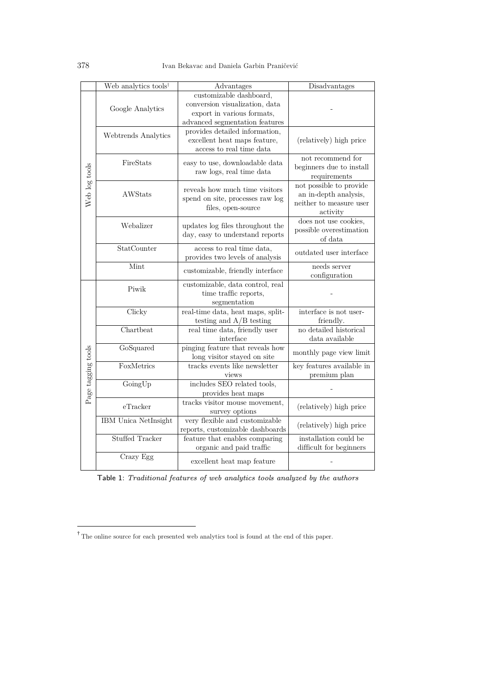|                    | Web analytics tools <sup>†</sup> | Advantages                                                                                                                | Disadvantages                                                                           |  |
|--------------------|----------------------------------|---------------------------------------------------------------------------------------------------------------------------|-----------------------------------------------------------------------------------------|--|
| Web log tools      | Google Analytics                 | customizable dashboard,<br>conversion visualization, data<br>export in various formats,<br>advanced segmentation features |                                                                                         |  |
|                    | Webtrends Analytics              | provides detailed information,<br>excellent heat maps feature,<br>access to real time data                                | (relatively) high price                                                                 |  |
|                    | FireStats                        | easy to use, downloadable data<br>raw logs, real time data                                                                | not recommend for<br>beginners due to install<br>requirements                           |  |
|                    | AWStats                          | reveals how much time visitors<br>spend on site, processes raw log<br>files, open-source                                  | not possible to provide<br>an in-depth analysis,<br>neither to measure user<br>activity |  |
|                    | Webalizer                        | updates log files throughout the<br>day, easy to understand reports                                                       | does not use cookies,<br>possible overestimation<br>of data                             |  |
|                    | StatCounter                      | access to real time data,<br>provides two levels of analysis                                                              | outdated user interface                                                                 |  |
|                    | Mint                             | customizable, friendly interface                                                                                          | needs server<br>configuration                                                           |  |
| Page tagging tools | Piwik                            | customizable, data control, real<br>time traffic reports,<br>segmentation                                                 |                                                                                         |  |
|                    | Clicky                           | real-time data, heat maps, split-<br>testing and $A/B$ testing                                                            | interface is not user-<br>friendly.                                                     |  |
|                    | Chartbeat                        | real time data, friendly user<br>interface                                                                                | no detailed historical<br>data available                                                |  |
|                    | GoSquared                        | pinging feature that reveals how<br>long visitor stayed on site                                                           | monthly page view limit                                                                 |  |
|                    | FoxMetrics                       | tracks events like newsletter<br>views                                                                                    | key features available in<br>premium plan                                               |  |
|                    | GoingUp                          | includes SEO related tools,<br>provides heat maps                                                                         |                                                                                         |  |
|                    | $e$ Tracker                      | tracks visitor mouse movement,<br>survey options                                                                          | (relatively) high price                                                                 |  |
|                    | IBM Unica NetInsight             | very flexible and customizable<br>reports, customizable dashboards                                                        | (relatively) high price                                                                 |  |
|                    | <b>Stuffed Tracker</b>           | feature that enables comparing<br>organic and paid traffic                                                                | installation could be<br>difficult for beginners                                        |  |
|                    | Crazy Egg                        | excellent heat map feature                                                                                                |                                                                                         |  |

Table 1: Traditional features of web analytics tools analyzed by the authors

 $\overline{a}$ 

<span id="page-5-0"></span><sup>&</sup>lt;sup>†</sup> The online source for each presented web analytics tool is found at the end of this paper.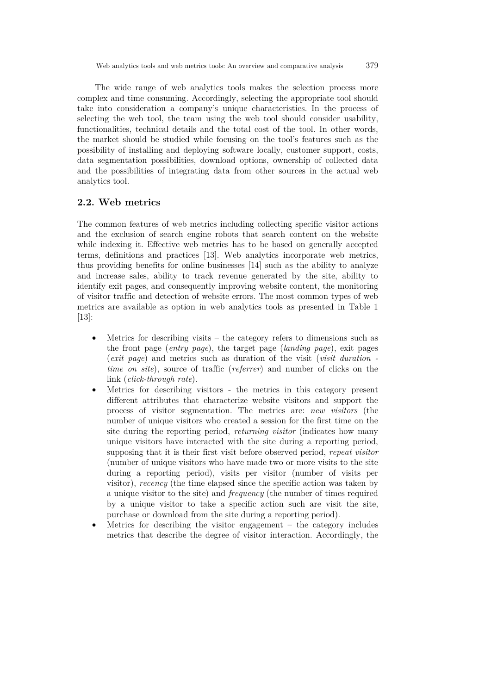The wide range of web analytics tools makes the selection process more complex and time consuming. Accordingly, selecting the appropriate tool should take into consideration a company's unique characteristics. In the process of selecting the web tool, the team using the web tool should consider usability, functionalities, technical details and the total cost of the tool. In other words, the market should be studied while focusing on the tool's features such as the possibility of installing and deploying software locally, customer support, costs, data segmentation possibilities, download options, ownership of collected data and the possibilities of integrating data from other sources in the actual web analytics tool.

### **2.2. Web metrics**

The common features of web metrics including collecting specific visitor actions and the exclusion of search engine robots that search content on the website while indexing it. Effective web metrics has to be based on generally accepted terms, definitions and practices [13]. Web analytics incorporate web metrics, thus providing benefits for online businesses [14] such as the ability to analyze and increase sales, ability to track revenue generated by the site, ability to identify exit pages, and consequently improving website content, the monitoring of visitor traffic and detection of website errors. The most common types of web metrics are available as option in web analytics tools as presented in Table 1 [13]:

- Metrics for describing visits  $-$  the category refers to dimensions such as the front page (*entry page*), the target page (*landing page*), exit pages (*exit page*) and metrics such as duration of the visit (*visit duration time on site*), source of traffic (*referrer*) and number of clicks on the link (*click-through rate*).
- Metrics for describing visitors the metrics in this category present different attributes that characterize website visitors and support the process of visitor segmentation. The metrics are: *new visitors* (the number of unique visitors who created a session for the first time on the site during the reporting period, *returning visitor* (indicates how many unique visitors have interacted with the site during a reporting period, supposing that it is their first visit before observed period, *repeat visitor*  (number of unique visitors who have made two or more visits to the site during a reporting period), visits per visitor (number of visits per visitor), *recency* (the time elapsed since the specific action was taken by a unique visitor to the site) and *frequency* (the number of times required by a unique visitor to take a specific action such are visit the site, purchase or download from the site during a reporting period).
- Metrics for describing the visitor engagement  $-$  the category includes metrics that describe the degree of visitor interaction. Accordingly, the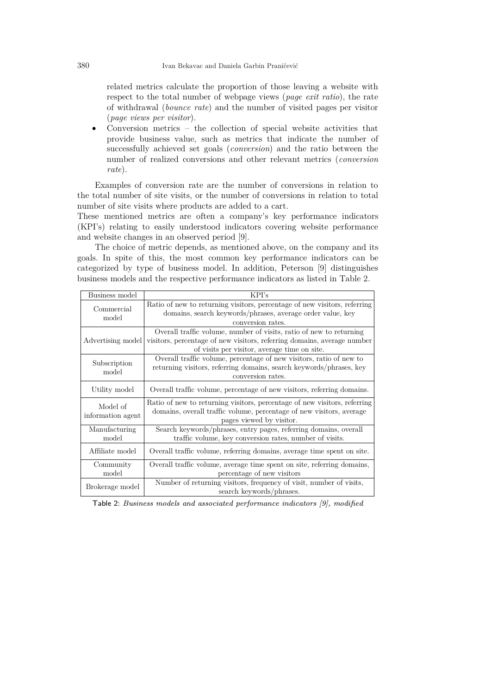related metrics calculate the proportion of those leaving a website with respect to the total number of webpage views (*page exit ratio*), the rate of withdrawal (*bounce rate*) and the number of visited pages per visitor (*page views per visitor*).

• Conversion metrics – the collection of special website activities that provide business value, such as metrics that indicate the number of successfully achieved set goals (*conversion*) and the ratio between the number of realized conversions and other relevant metrics (*conversion rate*).

Examples of conversion rate are the number of conversions in relation to the total number of site visits, or the number of conversions in relation to total number of site visits where products are added to a cart.

These mentioned metrics are often a company's key performance indicators (KPI's) relating to easily understood indicators covering website performance and website changes in an observed period [9].

The choice of metric depends, as mentioned above, on the company and its goals. In spite of this, the most common key performance indicators can be categorized by type of business model. In addition, Peterson [9] distinguishes business models and the respective performance indicators as listed in Table 2.

| Business model                | KPI's                                                                                                                                                                                          |
|-------------------------------|------------------------------------------------------------------------------------------------------------------------------------------------------------------------------------------------|
| Commercial<br>model           | Ratio of new to returning visitors, percentage of new visitors, referring<br>domains, search keywords/phrases, average order value, key<br>conversion rates.                                   |
| Advertising model             | Overall traffic volume, number of visits, ratio of new to returning<br>visitors, percentage of new visitors, referring domains, average number<br>of visits per visitor, average time on site. |
| Subscription<br>model         | Overall traffic volume, percentage of new visitors, ratio of new to<br>returning visitors, referring domains, search keywords/phrases, key<br>conversion rates.                                |
| Utility model                 | Overall traffic volume, percentage of new visitors, referring domains.                                                                                                                         |
| Model of<br>information agent | Ratio of new to returning visitors, percentage of new visitors, referring<br>domains, overall traffic volume, percentage of new visitors, average<br>pages viewed by visitor.                  |
| Manufacturing<br>model        | Search keywords/phrases, entry pages, referring domains, overall<br>traffic volume, key conversion rates, number of visits.                                                                    |
| Affiliate model               | Overall traffic volume, referring domains, average time spent on site.                                                                                                                         |
| Community<br>model            | Overall traffic volume, average time spent on site, referring domains,<br>percentage of new visitors                                                                                           |
| Brokerage model               | Number of returning visitors, frequency of visit, number of visits,<br>search keywords/phrases.                                                                                                |

Table 2: Business models and associated performance indicators [9], modified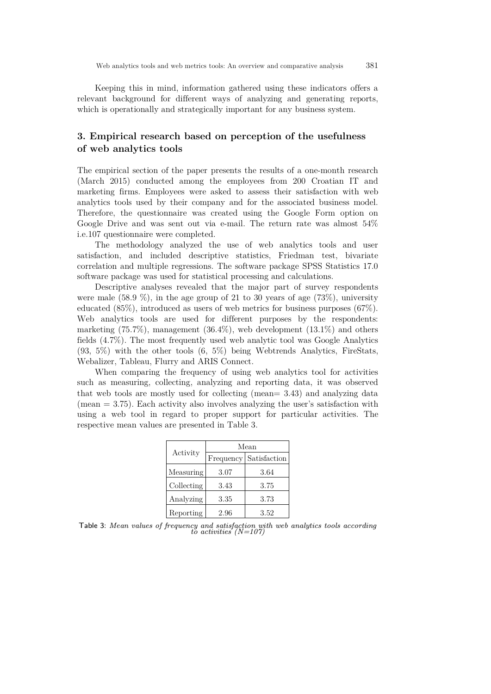Keeping this in mind, information gathered using these indicators offers a relevant background for different ways of analyzing and generating reports, which is operationally and strategically important for any business system.

## **3. Empirical research based on perception of the usefulness of web analytics tools**

The empirical section of the paper presents the results of a one-month research (March 2015) conducted among the employees from 200 Croatian IT and marketing firms. Employees were asked to assess their satisfaction with web analytics tools used by their company and for the associated business model. Therefore, the questionnaire was created using the Google Form option on Google Drive and was sent out via e-mail. The return rate was almost 54% i.e.107 questionnaire were completed.

The methodology analyzed the use of web analytics tools and user satisfaction, and included descriptive statistics, Friedman test, bivariate correlation and multiple regressions. The software package SPSS Statistics 17.0 software package was used for statistical processing and calculations.

Descriptive analyses revealed that the major part of survey respondents were male  $(58.9\%)$ , in the age group of 21 to 30 years of age  $(73\%)$ , university educated (85%), introduced as users of web metrics for business purposes (67%). Web analytics tools are used for different purposes by the respondents: marketing  $(75.7\%)$ , management  $(36.4\%)$ , web development  $(13.1\%)$  and others fields (4.7%). The most frequently used web analytic tool was Google Analytics (93, 5%) with the other tools (6, 5%) being Webtrends Analytics, FireStats, Webalizer, Tableau, Flurry and ARIS Connect.

When comparing the frequency of using web analytics tool for activities such as measuring, collecting, analyzing and reporting data, it was observed that web tools are mostly used for collecting (mean= 3.43) and analyzing data (mean  $= 3.75$ ). Each activity also involves analyzing the user's satisfaction with using a web tool in regard to proper support for particular activities. The respective mean values are presented in Table 3.

|            | Mean      |              |  |
|------------|-----------|--------------|--|
| Activity   | Frequency | Satisfaction |  |
| Measuring  | 3.07      | 3.64         |  |
| Collecting | 3.43      | 3.75         |  |
| Analyzing  | 3.35      | 3.73         |  |
| Reporting  | 2.96      | 3.52         |  |

Table 3: Mean values of frequency and satisfaction with web analytics tools according to activities  $(N=107)$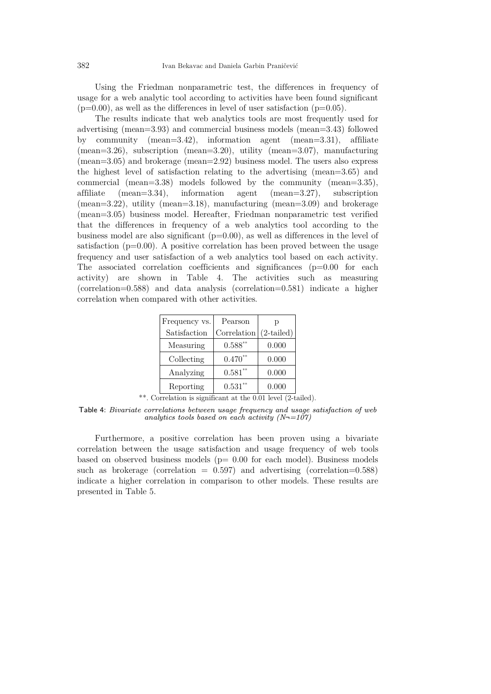Using the Friedman nonparametric test, the differences in frequency of usage for a web analytic tool according to activities have been found significant  $(p=0.00)$ , as well as the differences in level of user satisfaction  $(p=0.05)$ .

The results indicate that web analytics tools are most frequently used for advertising (mean=3.93) and commercial business models (mean=3.43) followed by community (mean=3.42), information agent (mean=3.31), affiliate (mean=3.26), subscription (mean=3.20), utility (mean=3.07), manufacturing (mean=3.05) and brokerage (mean=2.92) business model. The users also express the highest level of satisfaction relating to the advertising (mean=3.65) and commercial (mean=3.38) models followed by the community (mean=3.35), affiliate (mean=3.34), information agent (mean=3.27), subscription (mean=3.22), utility (mean=3.18), manufacturing (mean=3.09) and brokerage (mean=3.05) business model. Hereafter, Friedman nonparametric test verified that the differences in frequency of a web analytics tool according to the business model are also significant (p=0.00), as well as differences in the level of satisfaction  $(p=0.00)$ . A positive correlation has been proved between the usage frequency and user satisfaction of a web analytics tool based on each activity. The associated correlation coefficients and significances (p=0.00 for each activity) are shown in Table 4. The activities such as measuring (correlation=0.588) and data analysis (correlation=0.581) indicate a higher correlation when compared with other activities.

| Frequency vs. | Pearson            |              |  |
|---------------|--------------------|--------------|--|
| Satisfaction  | Correlation        | $(2-tailed)$ |  |
| Measuring     | $0.588^{\ast\ast}$ | 0.000        |  |
| Collecting    | $0.470**$          | 0.000        |  |
| Analyzing     | $0.581**$          | 0.000        |  |
| Reporting     | $0.531***$         | 0.000        |  |

\*\*. Correlation is significant at the 0.01 level (2-tailed).

Table 4: Bivariate correlations between usage frequency and usage satisfaction of web analytics tools based on each activity  $(N\neg =107)$ 

Furthermore, a positive correlation has been proven using a bivariate correlation between the usage satisfaction and usage frequency of web tools based on observed business models (p= 0.00 for each model). Business models such as brokerage (correlation  $= 0.597$ ) and advertising (correlation=0.588) indicate a higher correlation in comparison to other models. These results are presented in Table 5.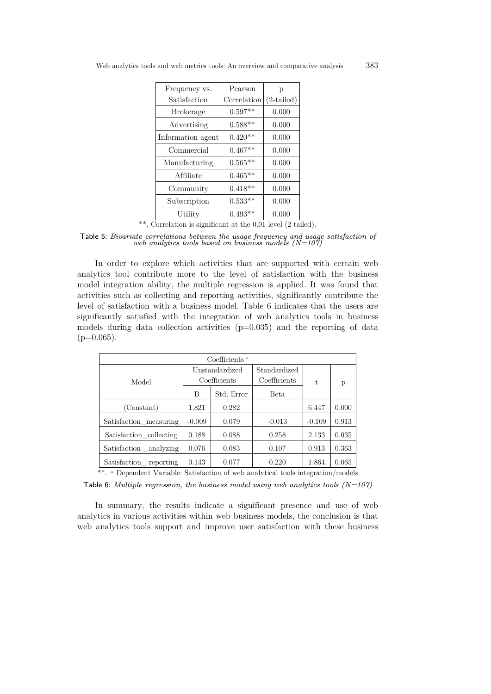| Frequency vs.     | Pearson     | p            |
|-------------------|-------------|--------------|
| Satisfaction      | Correlation | $(2-tailed)$ |
| <b>Brokerage</b>  | $0.597**$   | 0.000        |
| Advertising       | $0.588**$   | 0.000        |
| Information agent | $0.420**$   | 0.000        |
| Commercial        | $0.467**$   | 0.000        |
| Manufacturing     | $0.565**$   | 0.000        |
| Affiliate         | $0.465**$   | 0.000        |
| Community         | $0.418**$   | 0.000        |
| Subscription      | $0.533**$   | 0.000        |
| Utility           | $0.493**$   | 0.000        |

\*\*. Correlation is significant at the 0.01 level (2-tailed).

Table 5: Bivariate correlations between the usage frequency and usage satisfaction of web analytics tools based on business models  $(N=107)$ 

In order to explore which activities that are supported with certain web analytics tool contribute more to the level of satisfaction with the business model integration ability, the multiple regression is applied. It was found that activities such as collecting and reporting activities, significantly contribute the level of satisfaction with a business model. Table 6 indicates that the users are significantly satisfied with the integration of web analytics tools in business models during data collection activities  $(p=0.035)$  and the reporting of data  $(p=0.065)$ .

| Coefficients <sup>a</sup> |                                |            |                              |          |       |
|---------------------------|--------------------------------|------------|------------------------------|----------|-------|
| Model                     | Unstandardized<br>Coefficients |            | Standardized<br>Coefficients | t        | p     |
|                           | В                              | Std. Error | Beta                         |          |       |
| (Constant)                | 1.821                          | 0.282      |                              | 6.447    | 0.000 |
| Satisfaction measuring    | $-0.009$                       | 0.079      | $-0.013$                     | $-0.109$ | 0.913 |
| Satisfaction collecting   | 0.188                          | 0.088      | 0.258                        | 2.133    | 0.035 |
| Satisfaction analyzing    | 0.076                          | 0.083      | 0.107                        | 0.913    | 0.363 |
| Satisfaction reporting    | 0.143                          | 0.077      | 0.220                        | 1.864    | 0.065 |

\*\*. a. Dependent Variable: Satisfaction of web analytical tools integration/models

Table 6: Multiple regression, the business model using web analytics tools  $(N=107)$ 

In summary, the results indicate a significant presence and use of web analytics in various activities within web business models, the conclusion is that web analytics tools support and improve user satisfaction with these business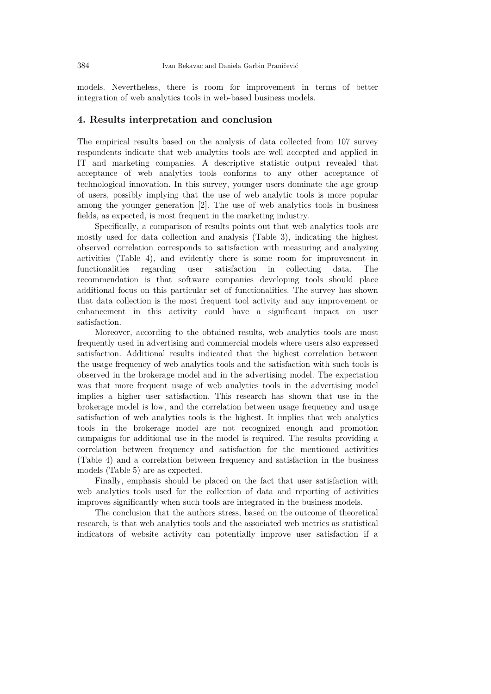models. Nevertheless, there is room for improvement in terms of better integration of web analytics tools in web-based business models.

#### **4. Results interpretation and conclusion**

The empirical results based on the analysis of data collected from 107 survey respondents indicate that web analytics tools are well accepted and applied in IT and marketing companies. A descriptive statistic output revealed that acceptance of web analytics tools conforms to any other acceptance of technological innovation. In this survey, younger users dominate the age group of users, possibly implying that the use of web analytic tools is more popular among the younger generation [2]. The use of web analytics tools in business fields, as expected, is most frequent in the marketing industry.

Specifically, a comparison of results points out that web analytics tools are mostly used for data collection and analysis (Table 3), indicating the highest observed correlation corresponds to satisfaction with measuring and analyzing activities (Table 4), and evidently there is some room for improvement in functionalities regarding user satisfaction in collecting data. The recommendation is that software companies developing tools should place additional focus on this particular set of functionalities. The survey has shown that data collection is the most frequent tool activity and any improvement or enhancement in this activity could have a significant impact on user satisfaction.

Moreover, according to the obtained results, web analytics tools are most frequently used in advertising and commercial models where users also expressed satisfaction. Additional results indicated that the highest correlation between the usage frequency of web analytics tools and the satisfaction with such tools is observed in the brokerage model and in the advertising model. The expectation was that more frequent usage of web analytics tools in the advertising model implies a higher user satisfaction. This research has shown that use in the brokerage model is low, and the correlation between usage frequency and usage satisfaction of web analytics tools is the highest. It implies that web analytics tools in the brokerage model are not recognized enough and promotion campaigns for additional use in the model is required. The results providing a correlation between frequency and satisfaction for the mentioned activities (Table 4) and a correlation between frequency and satisfaction in the business models (Table 5) are as expected.

Finally, emphasis should be placed on the fact that user satisfaction with web analytics tools used for the collection of data and reporting of activities improves significantly when such tools are integrated in the business models.

The conclusion that the authors stress, based on the outcome of theoretical research, is that web analytics tools and the associated web metrics as statistical indicators of website activity can potentially improve user satisfaction if a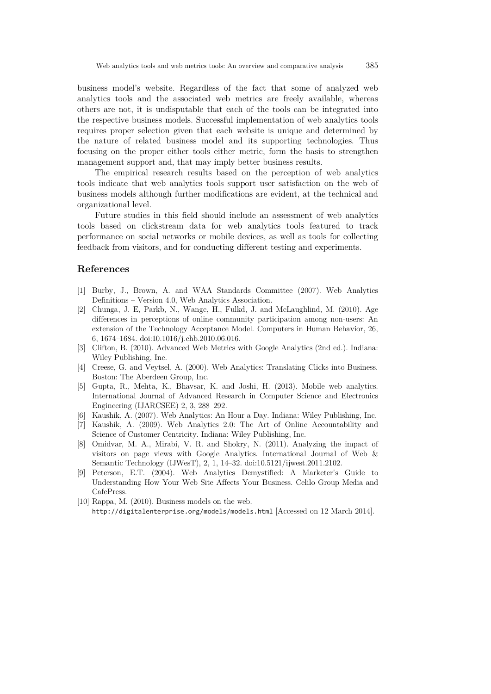business model's website. Regardless of the fact that some of analyzed web analytics tools and the associated web metrics are freely available, whereas others are not, it is undisputable that each of the tools can be integrated into the respective business models. Successful implementation of web analytics tools requires proper selection given that each website is unique and determined by the nature of related business model and its supporting technologies. Thus focusing on the proper either tools either metric, form the basis to strengthen management support and, that may imply better business results.

The empirical research results based on the perception of web analytics tools indicate that web analytics tools support user satisfaction on the web of business models although further modifications are evident, at the technical and organizational level.

Future studies in this field should include an assessment of web analytics tools based on clickstream data for web analytics tools featured to track performance on social networks or mobile devices, as well as tools for collecting feedback from visitors, and for conducting different testing and experiments.

### **References**

- [1] Burby, J., Brown, A. and WAA Standards Committee (2007). Web Analytics Definitions – Version 4.0, Web Analytics Association.
- [2] Chunga, J. E, Parkb, N., Wangc, H., Fulkd, J. and McLaughlind, M. (2010). Age differences in perceptions of online community participation among non-users: An extension of the Technology Acceptance Model. Computers in Human Behavior, 26, 6, 1674–1684. doi:10.1016/j.chb.2010.06.016.
- [3] Clifton, B. (2010). Advanced Web Metrics with Google Analytics (2nd ed.). Indiana: Wiley Publishing, Inc.
- [4] Creese, G. and Veytsel, A. (2000). Web Analytics: Translating Clicks into Business. Boston: The Aberdeen Group, Inc.
- [5] Gupta, R., Mehta, K., Bhavsar, K. and Joshi, H. (2013). Mobile web analytics. International Journal of Advanced Research in Computer Science and Electronics Engineering (IJARCSEE) 2, 3, 288–292.
- Kaushik, A. (2007). Web Analytics: An Hour a Day. Indiana: Wiley Publishing, Inc.
- [7] Kaushik, A. (2009). Web Analytics 2.0: The Art of Online Accountability and Science of Customer Centricity. Indiana: Wiley Publishing, Inc.
- [8] Omidvar, M. A., Mirabi, V. R. and Shokry, N. (2011). Analyzing the impact of visitors on page views with Google Analytics. International Journal of Web & Semantic Technology (IJWesT), 2, 1, 14–32. doi:10.5121/ijwest.2011.2102.
- [9] Peterson, E.T. (2004). Web Analytics Demystified: A Marketer's Guide to Understanding How Your Web Site Affects Your Business. Celilo Group Media and CafePress.
- [10] Rappa, M. (2010). Business models on the web. http://digitalenterprise.org/models/models.html [Accessed on 12 March 2014].